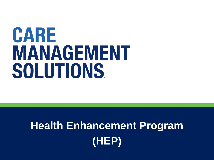# CARE MANAGEMENT SOLUTIONS.

# **Health Enhancement Program (HEP)**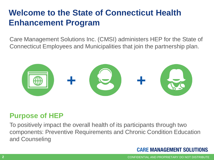### **Welcome to the State of Connecticut Health Enhancement Program**

Care Management Solutions Inc. (CMSI) administers HEP for the State of Connecticut Employees and Municipalities that join the partnership plan.



#### **Purpose of HEP**

To positively impact the overall health of its participants through two components: Preventive Requirements and Chronic Condition Education and Counseling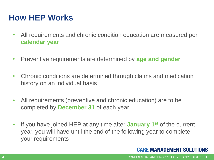### **How HEP Works**

- All requirements and chronic condition education are measured per **calendar year**
- Preventive requirements are determined by **age and gender**
- Chronic conditions are determined through claims and medication history on an individual basis
- All requirements (preventive and chronic education) are to be completed by **December 31** of each year
- If you have joined HEP at any time after **January 1st** of the current year, you will have until the end of the following year to complete your requirements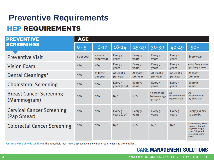### **Preventive RequirementsHEP REQUIREMENTS**

| <b>PREVENTIVE</b>                               | <b>AGE</b> |                        |                          |                        |                                           |                                          |                                                                                                           |
|-------------------------------------------------|------------|------------------------|--------------------------|------------------------|-------------------------------------------|------------------------------------------|-----------------------------------------------------------------------------------------------------------|
| <b>SCREENINGS</b>                               | $0 - 5$    | $6 - 17$               | $18 - 24$                | $25 - 29$              | 30-39                                     | $40 - 49$                                | $50+$                                                                                                     |
| <b>Preventive Visit</b>                         | 1 per year | 1 every<br>other year  | Every 3<br>vears         | Every 3<br>years       | Every 3<br>years                          | Every 2<br>vears                         | Every year                                                                                                |
| <b>Vision Exam</b>                              | N/A        | N/A                    | Every 7<br>vears         | Every 7<br>years       | Every 7<br>vears                          | Every 4<br>vears                         | 50-64: Every 3 years<br>65+: Every 2 years                                                                |
| Dental Cleanings*                               | N/A        | At least 1<br>per year | At least 1<br>per year   | At least 1<br>per year | At least 1<br>per year                    | At least 1<br>per year                   | At least 1<br>per year                                                                                    |
| <b>Cholesterol Screening</b>                    | N/A        | N/A                    | Every 5<br>years $(20+)$ | Every 5<br>years       | Every 5<br>vears                          | Every 5<br>years                         | Every 2<br>vears                                                                                          |
| <b>Breast Cancer Screening</b><br>(Mammogram)   | N/A        | N/A                    | N/A                      | N/A                    | 1 screening<br>between age<br>$35 - 39**$ | <b>As</b><br>recommended<br>by physician | As<br>recommended<br>by physician                                                                         |
| <b>Cervical Cancer Screening</b><br>(Pap Smear) | N/A        | N/A                    | Every 3<br>years $(21+)$ | Every 3<br>years       | Every 3<br>vears                          | Every 3<br>vears                         | Every 3 years<br>to age $65$                                                                              |
| <b>Colorectal Cancer Screening</b>              | N/A        | N/A                    | N/A                      | N/A                    | N/A                                       | N/A                                      | Colonoscopy every<br>10 years, Annual<br>FIT/FOBT to age<br>75 or Cologuard<br>screening every 3<br>vears |

For those with a chronic condition: The household must meet all preventive and chronic requirements to be compliant.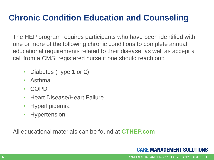### **Chronic Condition Education and Counseling**

The HEP program requires participants who have been identified with one or more of the following chronic conditions to complete annual educational requirements related to their disease, as well as accept a call from a CMSI registered nurse if one should reach out:

- Diabetes (Type 1 or 2)
- Asthma
- COPD
- Heart Disease/Heart Failure
- Hyperlipidemia
- Hypertension

All educational materials can be found at **CTHEP.com**

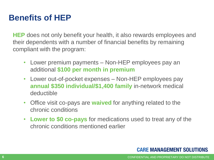### **Benefits of HEP**

**HEP** does not only benefit your health, it also rewards employees and their dependents with a number of financial benefits by remaining compliant with the program:

- Lower premium payments Non-HEP employees pay an additional **\$100 per month in premium**
- Lower out-of-pocket expenses Non-HEP employees pay **annual \$350 individual/\$1,400 family** in-network medical deductible
- Office visit co-pays are **waived** for anything related to the chronic conditions
- **Lower to \$0 co-pays** for medications used to treat any of the chronic conditions mentioned earlier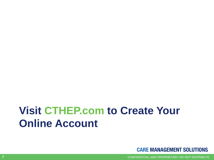## **Visit CTHEP.com to Create Your Online Account**



CONFIDENTIAL AND PROPRIETARY DO NOT DISTRIBUTE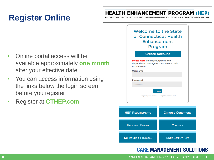### **Register Online**

#### **HEALTH ENHANCEMENT PROGRAM (HEP)**

CONNECTICUT AND CARE MANAGEMENT SOLUTIONS -- A CONNECTICARE

Welcome to the State of Connecticut Health

- Online portal access will be available approximately **one month**  after your effective date
- You can access information using the links below the login screen before you register
- Register at **CTHEP.com**

| Enhancement<br>Program                                                                             |
|----------------------------------------------------------------------------------------------------|
| <b>Create Account</b>                                                                              |
| <b>Please Note</b> Employee, spouse and<br>dependents over age 18 must create their<br>own account |
| Username                                                                                           |
| Password                                                                                           |
|                                                                                                    |
| Login                                                                                              |
| I forgot my username I forgot my password                                                          |

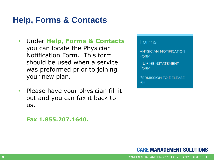### **Help, Forms & Contacts**

- Under **Help, Forms & Contacts**  you can locate the Physician Notification Form. This form should be used when a service was preformed prior to joining your new plan.
- Please have your physician fill it out and you can fax it back to us.

 **Fax 1.855.207.1640.** 

Forms

**PHYSICIAN NOTIFICATION FORM** 

**HEP REINSTATEMENT FORM** 

**PERMISSION TO RELEASE PHI** 

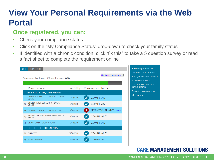### **View Your Personal Requirements via the Web Portal**

#### **Once registered, you can:**

- Check your compliance status
- Click on the "My Compliance Status" drop-down to check your family status
- If identified with a chronic condition, click "fix this" to take a 5 question survey or read a fact sheet to complete the requirement online